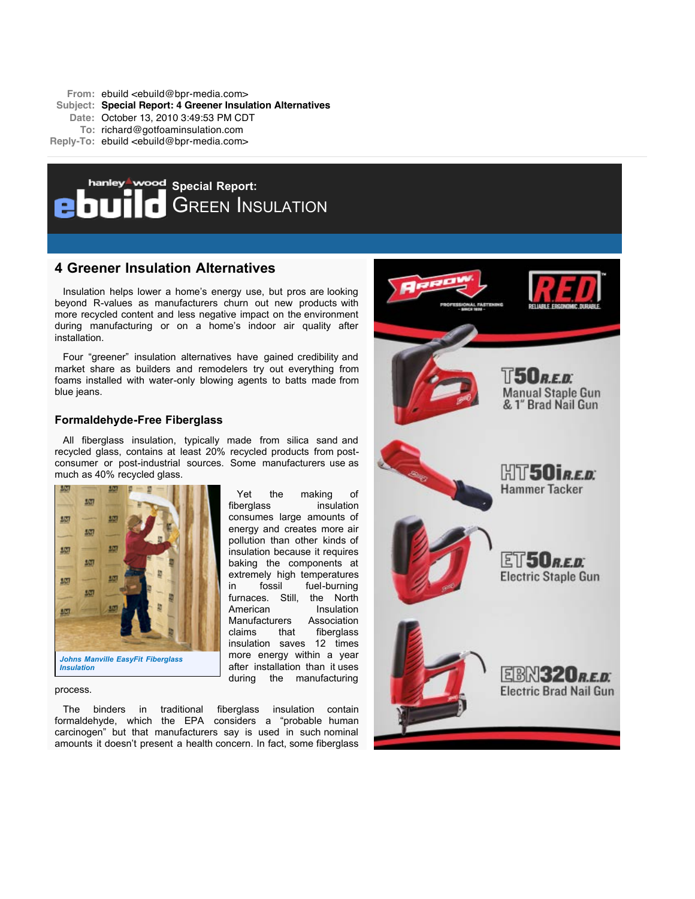**From:** ebuild <ebuild@bpr-media.com> **Subject: Special Report: 4 Greener Insulation Alternatives Date:** October 13, 2010 3:49:53 PM CDT **To:** richard@gotfoaminsulation.com **Reply-To:** ebuild <ebuild@bpr-media.com>



# **4 Greener Insulation Alternatives**

Insulation helps lower a home's energy use, but pros are looking beyond R-values as manufacturers churn out new products with more recycled content and less negative impact on the environment during manufacturing or on a home's indoor air quality after installation.

Four "greener" insulation alternatives have gained credibility and market share as builders and remodelers try out everything from foams installed with water-only blowing agents to batts made from blue jeans.

## **Formaldehyde-Free Fiberglass**

All fiberglass insulation, typically made from silica sand and recycled glass, contains at least 20% recycled products from postconsumer or post-industrial sources. Some manufacturers use as much as 40% recycled glass.

> Yet the making of fiberglass insulation consumes large amounts of energy and creates more air pollution than other kinds of insulation because it requires baking the components at extremely high temperatures in fossil fuel-burning furnaces. Still, the North American Insulation Manufacturers Association claims that fiberglass insulation saves 12 times more energy within a year after installation than it uses during the manufacturing



process.

The binders in traditional fiberglass insulation contain formaldehyde, which the EPA considers a "probable human carcinogen" but that manufacturers say is used in such nominal amounts it doesn't present a health concern. In fact, some fiberglass

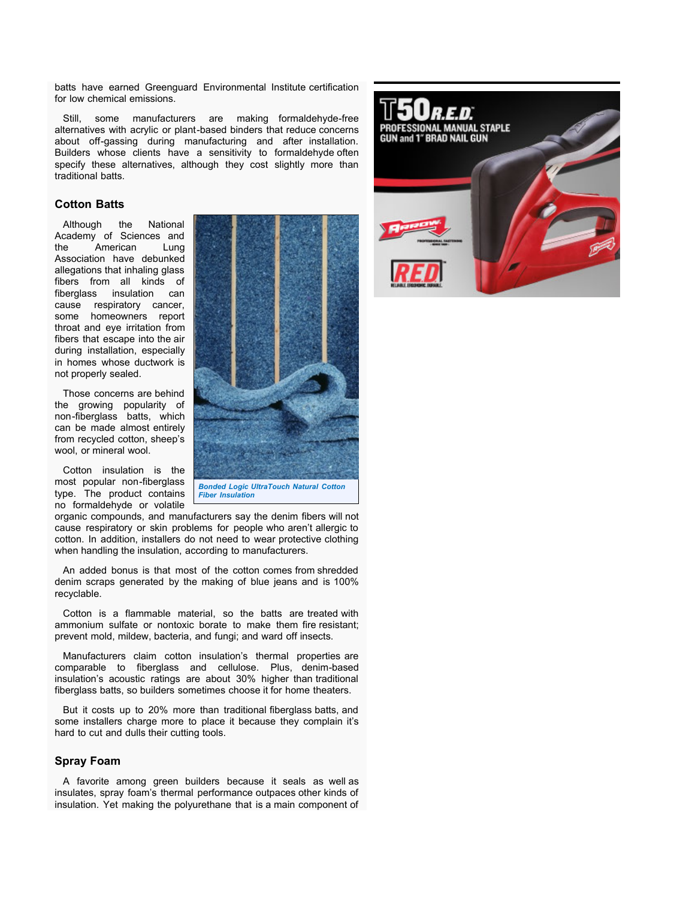batts have earned Greenguard Environmental Institute certification for low chemical emissions.

Still, some manufacturers are making formaldehyde-free alternatives with acrylic or plant-based binders that reduce concerns about off-gassing during manufacturing and after installation. Builders whose clients have a sensitivity to formaldehyde often specify these alternatives, although they cost slightly more than traditional batts.

### **Cotton Batts**

Although the National Academy of Sciences and the American Lung Association have debunked allegations that inhaling glass fibers from all kinds of fiberglass insulation can cause respiratory cancer, some homeowners report throat and eye irritation from fibers that escape into the air during installation, especially in homes whose ductwork is not properly sealed.

Those concerns are behind the growing popularity of non-fiberglass batts, which can be made almost entirely from recycled cotton, sheep's wool, or mineral wool.

Cotton insulation is the most popular non-fiberglass type. The product contains no formaldehyde or volatile

*Bonded Logic UltraTouch Natural Cotton*

*Fiber Insulation*

organic compounds, and manufacturers say the denim fibers will not cause respiratory or skin problems for people who aren't allergic to cotton. In addition, installers do not need to wear protective clothing when handling the insulation, according to manufacturers.

An added bonus is that most of the cotton comes from shredded denim scraps generated by the making of blue jeans and is 100% recyclable.

Cotton is a flammable material, so the batts are treated with ammonium sulfate or nontoxic borate to make them fire resistant; prevent mold, mildew, bacteria, and fungi; and ward off insects.

Manufacturers claim cotton insulation's thermal properties are comparable to fiberglass and cellulose. Plus, denim-based insulation's acoustic ratings are about 30% higher than traditional fiberglass batts, so builders sometimes choose it for home theaters.

But it costs up to 20% more than traditional fiberglass batts, and some installers charge more to place it because they complain it's hard to cut and dulls their cutting tools.

## **Spray Foam**

A favorite among green builders because it seals as well as insulates, spray foam's thermal performance outpaces other kinds of insulation. Yet making the polyurethane that is a main component of

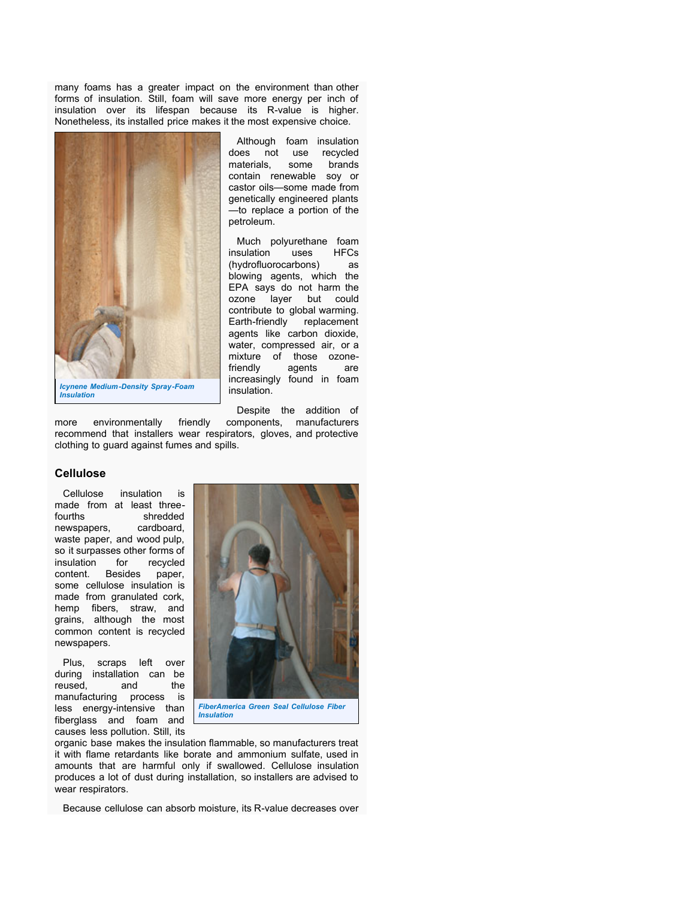many foams has a greater impact on the environment than other forms of insulation. Still, foam will save more energy per inch of insulation over its lifespan because its R-value is higher. Nonetheless, its installed price makes it the most expensive choice.



Although foam insulation does not use recycled materials, some brands contain renewable soy or castor oils—some made from genetically engineered plants —to replace a portion of the petroleum.

Much polyurethane foam<br>sulation uses HFCs insulation uses (hydrofluorocarbons) as blowing agents, which the EPA says do not harm the ozone layer but could contribute to global warming. Earth-friendly replacement agents like carbon dioxide, water, compressed air, or a mixture of those ozonefriendly agents are increasingly found in foam insulation.

*Insulation*

Despite the addition of

more environmentally friendly components, manufacturers recommend that installers wear respirators, gloves, and protective clothing to guard against fumes and spills.

### **Cellulose**

Cellulose insulation is made from at least threefourths shredded newspapers, cardboard, waste paper, and wood pulp, so it surpasses other forms of insulation for recycled content. Besides paper, some cellulose insulation is made from granulated cork, hemp fibers, straw, and grains, although the most common content is recycled newspapers.

Plus, scraps left over during installation can be reused, and the manufacturing process is less energy-intensive than fiberglass and foam and causes less pollution. Still, its



organic base makes the insulation flammable, so manufacturers treat it with flame retardants like borate and ammonium sulfate, used in amounts that are harmful only if swallowed. Cellulose insulation produces a lot of dust during installation, so installers are advised to wear respirators.

Because cellulose can absorb moisture, its R-value decreases over